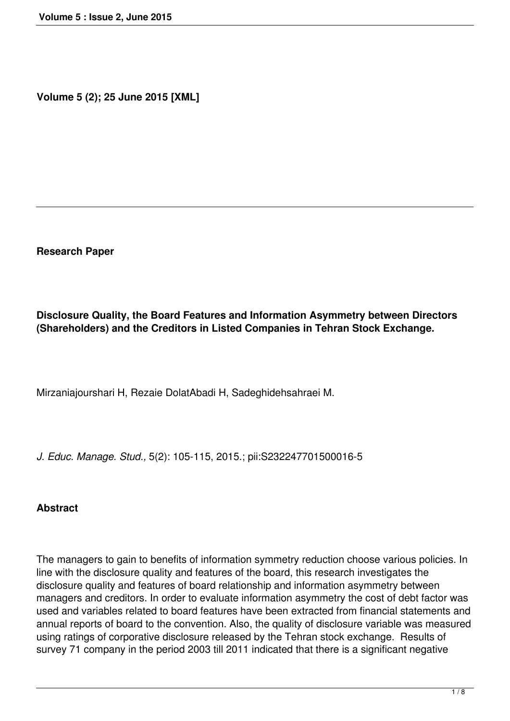**Volume 5 (2); 25 June 2015 [XML]**

**Research Paper**

**Disclosure Quality, the Board Features and Information Asymmetry between Directors (Shareholders) and the Creditors in Listed Companies in Tehran Stock Exchange.**

Mirzaniajourshari H, Rezaie DolatAbadi H, Sadeghidehsahraei M.

*J. Educ. Manage. Stud.,* 5(2): 105-115, 2015.; pii:S232247701500016-5

#### **Abstract**

The managers to gain to benefits of information symmetry reduction choose various policies. In line with the disclosure quality and features of the board, this research investigates the disclosure quality and features of board relationship and information asymmetry between managers and creditors. In order to evaluate information asymmetry the cost of debt factor was used and variables related to board features have been extracted from financial statements and annual reports of board to the convention. Also, the quality of disclosure variable was measured using ratings of corporative disclosure released by the Tehran stock exchange. Results of survey 71 company in the period 2003 till 2011 indicated that there is a significant negative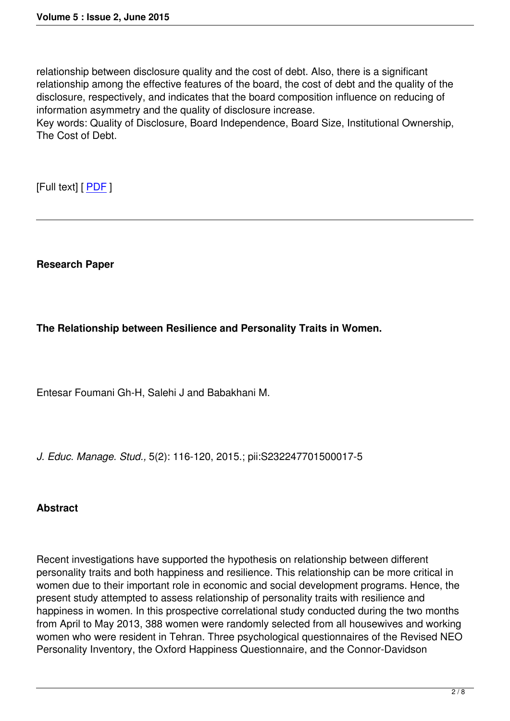relationship between disclosure quality and the cost of debt. Also, there is a significant relationship among the effective features of the board, the cost of debt and the quality of the disclosure, respectively, and indicates that the board composition influence on reducing of information asymmetry and the quality of disclosure increase.

Key words: Quality of Disclosure, Board Independence, Board Size, Institutional Ownership, The Cost of Debt.

[Full text] [ PDF ]

**Research Paper**

## **The Relationship between Resilience and Personality Traits in Women.**

Entesar Foumani Gh-H, Salehi J and Babakhani M.

*J. Educ. Manage. Stud.,* 5(2): 116-120, 2015.; pii:S232247701500017-5

## **Abstract**

Recent investigations have supported the hypothesis on relationship between different personality traits and both happiness and resilience. This relationship can be more critical in women due to their important role in economic and social development programs. Hence, the present study attempted to assess relationship of personality traits with resilience and happiness in women. In this prospective correlational study conducted during the two months from April to May 2013, 388 women were randomly selected from all housewives and working women who were resident in Tehran. Three psychological questionnaires of the Revised NEO Personality Inventory, the Oxford Happiness Questionnaire, and the Connor-Davidson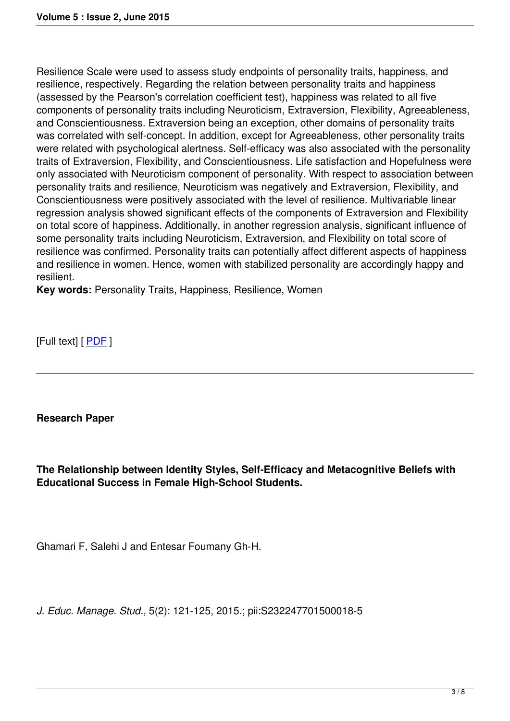Resilience Scale were used to assess study endpoints of personality traits, happiness, and resilience, respectively. Regarding the relation between personality traits and happiness (assessed by the Pearson's correlation coefficient test), happiness was related to all five components of personality traits including Neuroticism, Extraversion, Flexibility, Agreeableness, and Conscientiousness. Extraversion being an exception, other domains of personality traits was correlated with self-concept. In addition, except for Agreeableness, other personality traits were related with psychological alertness. Self-efficacy was also associated with the personality traits of Extraversion, Flexibility, and Conscientiousness. Life satisfaction and Hopefulness were only associated with Neuroticism component of personality. With respect to association between personality traits and resilience, Neuroticism was negatively and Extraversion, Flexibility, and Conscientiousness were positively associated with the level of resilience. Multivariable linear regression analysis showed significant effects of the components of Extraversion and Flexibility on total score of happiness. Additionally, in another regression analysis, significant influence of some personality traits including Neuroticism, Extraversion, and Flexibility on total score of resilience was confirmed. Personality traits can potentially affect different aspects of happiness and resilience in women. Hence, women with stabilized personality are accordingly happy and resilient.

**Key words:** Personality Traits, Happiness, Resilience, Women

[Full text] [ PDF ]

**Research Paper**

**The Relationship between Identity Styles, Self-Efficacy and Metacognitive Beliefs with Educational Success in Female High-School Students.**

Ghamari F, Salehi J and Entesar Foumany Gh-H.

*J. Educ. Manage. Stud.,* 5(2): 121-125, 2015.; pii:S232247701500018-5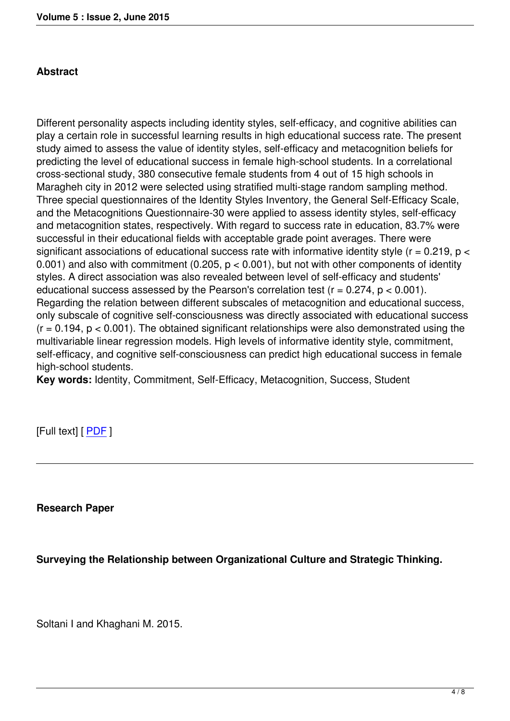# **Abstract**

Different personality aspects including identity styles, self-efficacy, and cognitive abilities can play a certain role in successful learning results in high educational success rate. The present study aimed to assess the value of identity styles, self-efficacy and metacognition beliefs for predicting the level of educational success in female high-school students. In a correlational cross-sectional study, 380 consecutive female students from 4 out of 15 high schools in Maragheh city in 2012 were selected using stratified multi-stage random sampling method. Three special questionnaires of the Identity Styles Inventory, the General Self-Efficacy Scale, and the Metacognitions Questionnaire-30 were applied to assess identity styles, self-efficacy and metacognition states, respectively. With regard to success rate in education, 83.7% were successful in their educational fields with acceptable grade point averages. There were significant associations of educational success rate with informative identity style ( $r = 0.219$ ,  $p <$ 0.001) and also with commitment (0.205,  $p < 0.001$ ), but not with other components of identity styles. A direct association was also revealed between level of self-efficacy and students' educational success assessed by the Pearson's correlation test  $(r = 0.274, p < 0.001)$ . Regarding the relation between different subscales of metacognition and educational success, only subscale of cognitive self-consciousness was directly associated with educational success  $(r = 0.194, p < 0.001)$ . The obtained significant relationships were also demonstrated using the multivariable linear regression models. High levels of informative identity style, commitment, self-efficacy, and cognitive self-consciousness can predict high educational success in female high-school students.

**Key words:** Identity, Commitment, Self-Efficacy, Metacognition, Success, Student

[Full text] [ PDF ]

**Research Paper**

**Surveying the Relationship between Organizational Culture and Strategic Thinking.** 

Soltani I and Khaghani M. 2015.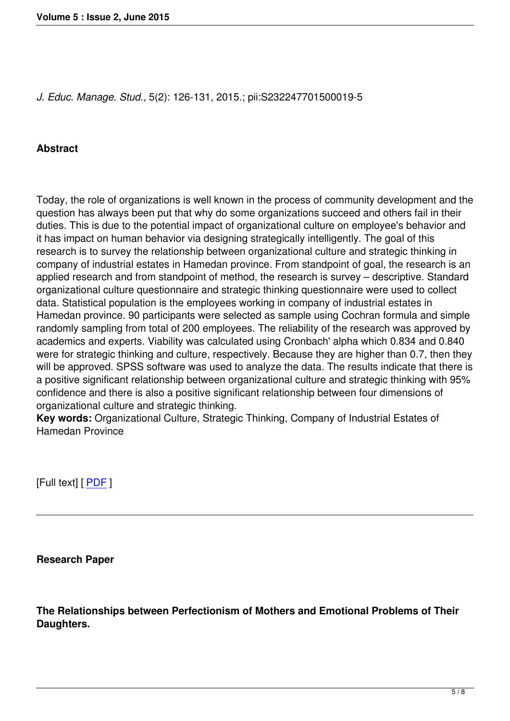# **Abstract**

Today, the role of organizations is well known in the process of community development and the question has always been put that why do some organizations succeed and others fail in their duties. This is due to the potential impact of organizational culture on employee's behavior and it has impact on human behavior via designing strategically intelligently. The goal of this research is to survey the relationship between organizational culture and strategic thinking in company of industrial estates in Hamedan province. From standpoint of goal, the research is an applied research and from standpoint of method, the research is survey – descriptive. Standard organizational culture questionnaire and strategic thinking questionnaire were used to collect data. Statistical population is the employees working in company of industrial estates in Hamedan province. 90 participants were selected as sample using Cochran formula and simple randomly sampling from total of 200 employees. The reliability of the research was approved by academics and experts. Viability was calculated using Cronbach' alpha which 0.834 and 0.840 were for strategic thinking and culture, respectively. Because they are higher than 0.7, then they will be approved. SPSS software was used to analyze the data. The results indicate that there is a positive significant relationship between organizational culture and strategic thinking with 95% confidence and there is also a positive significant relationship between four dimensions of organizational culture and strategic thinking.

**Key words:** Organizational Culture, Strategic Thinking, Company of Industrial Estates of Hamedan Province

[Full text] [ PDF ]

**Research Paper**

**The Relationships between Perfectionism of Mothers and Emotional Problems of Their Daughters.**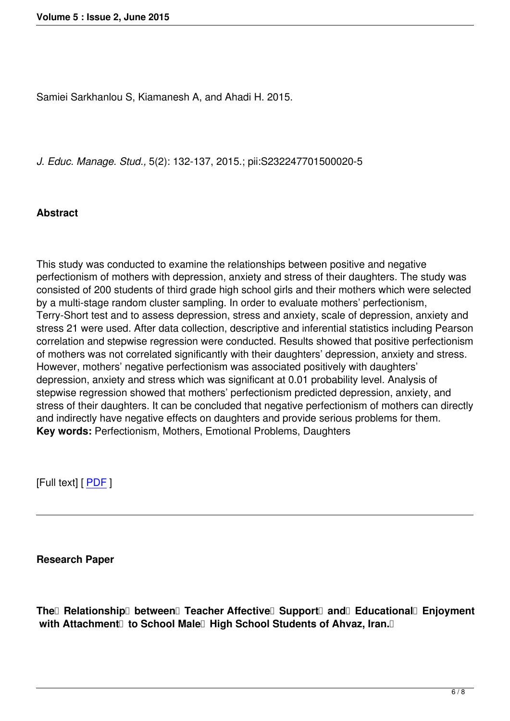Samiei Sarkhanlou S, Kiamanesh A, and Ahadi H. 2015.

*J. Educ. Manage. Stud.,* 5(2): 132-137, 2015.; pii:S232247701500020-5

### **Abstract**

This study was conducted to examine the relationships between positive and negative perfectionism of mothers with depression, anxiety and stress of their daughters. The study was consisted of 200 students of third grade high school girls and their mothers which were selected by a multi-stage random cluster sampling. In order to evaluate mothers' perfectionism, Terry-Short test and to assess depression, stress and anxiety, scale of depression, anxiety and stress 21 were used. After data collection, descriptive and inferential statistics including Pearson correlation and stepwise regression were conducted. Results showed that positive perfectionism of mothers was not correlated significantly with their daughters' depression, anxiety and stress. However, mothers' negative perfectionism was associated positively with daughters' depression, anxiety and stress which was significant at 0.01 probability level. Analysis of stepwise regression showed that mothers' perfectionism predicted depression, anxiety, and stress of their daughters. It can be concluded that negative perfectionism of mothers can directly and indirectly have negative effects on daughters and provide serious problems for them. **Key words:** Perfectionism, Mothers, Emotional Problems, Daughters

[Full text] [ PDF ]

**Research Paper**

**The Relationship between Teacher Affective Support and Educational Enjoyment** with Attachment<sup>[]</sup> to School Male<sup>[]</sup> High School Students of Ahvaz, Iran.<sup>[]</sup>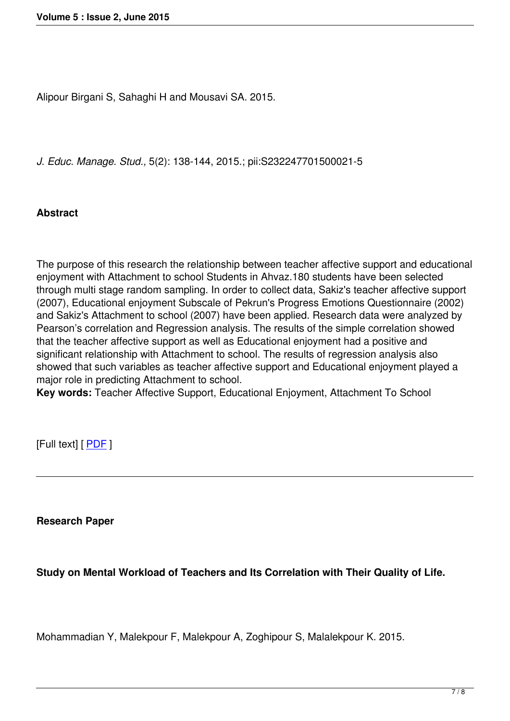Alipour Birgani S, Sahaghi H and Mousavi SA. 2015.

*J. Educ. Manage. Stud.,* 5(2): 138-144, 2015.; pii:S232247701500021-5

### **Abstract**

The purpose of this research the relationship between teacher affective support and educational enjoyment with Attachment to school Students in Ahvaz.180 students have been selected through multi stage random sampling. In order to collect data, Sakiz's teacher affective support (2007), Educational enjoyment Subscale of Pekrun's Progress Emotions Questionnaire (2002) and Sakiz's Attachment to school (2007) have been applied. Research data were analyzed by Pearson's correlation and Regression analysis. The results of the simple correlation showed that the teacher affective support as well as Educational enjoyment had a positive and significant relationship with Attachment to school. The results of regression analysis also showed that such variables as teacher affective support and Educational enjoyment played a major role in predicting Attachment to school.

**Key words:** Teacher Affective Support, Educational Enjoyment, Attachment To School

[Full text] [ PDF ]

**Research Paper**

**Study on Mental Workload of Teachers and Its Correlation with Their Quality of Life.**

Mohammadian Y, Malekpour F, Malekpour A, Zoghipour S, Malalekpour K. 2015.